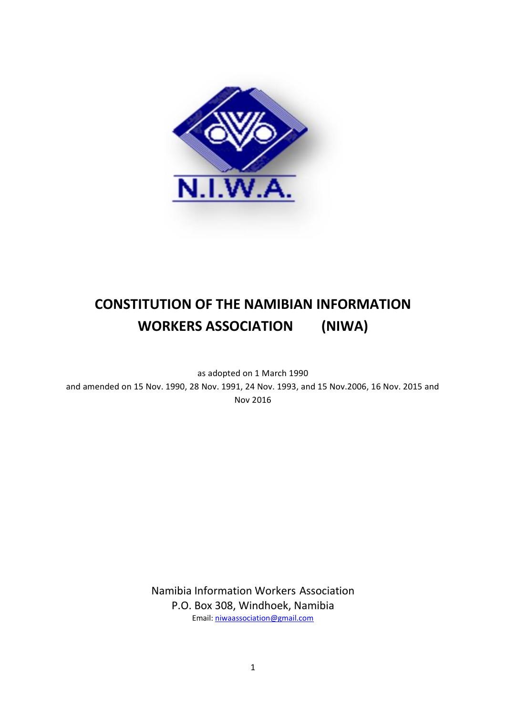

# **CONSTITUTION OF THE NAMIBIAN INFORMATION WORKERS ASSOCIATION (NIWA)**

as adopted on 1 March 1990 and amended on 15 Nov. 1990, 28 Nov. 1991, 24 Nov. 1993, and 15 Nov.2006, 16 Nov. 2015 and Nov 2016

> Namibia Information Workers Association P.O. Box 308, Windhoek, Namibia Email: [niwaassociation@gmail.com](mailto:niwaassociation@gmail.com)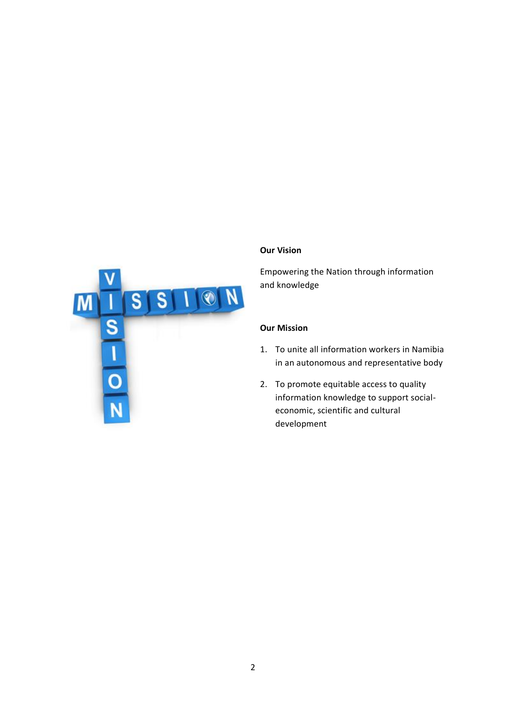

#### **Our Vision**

Empowering the Nation through information and knowledge

# **Our Mission**

- 1. To unite all information workers in Namibia in an autonomous and representative body
- 2. To promote equitable access to quality information knowledge to support socialeconomic, scientific and cultural development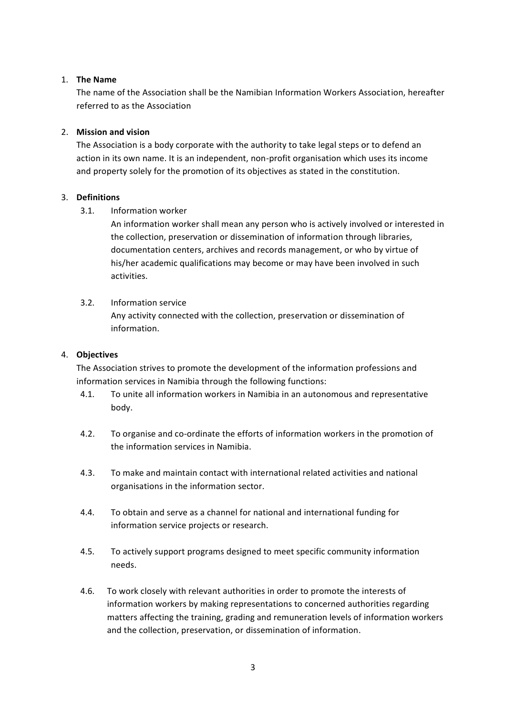## 1. **The Name**

The name of the Association shall be the Namibian Information Workers Association, hereafter referred to as the Association

## 2. **Mission and vision**

The Association is a body corporate with the authority to take legal steps or to defend an action in its own name. It is an independent, non-profit organisation which uses its income and property solely for the promotion of its objectives as stated in the constitution.

## 3. **Definitions**

3.1. Information worker

An information worker shall mean any person who is actively involved or interested in the collection, preservation or dissemination of information through libraries, documentation centers, archives and records management, or who by virtue of his/her academic qualifications may become or may have been involved in such activities.

## 3.2. Information service

Any activity connected with the collection, preservation or dissemination of information.

## 4. **Objectives**

The Association strives to promote the development of the information professions and information services in Namibia through the following functions:

- 4.1. To unite all information workers in Namibia in an autonomous and representative body.
- 4.2. To organise and co-ordinate the efforts of information workers in the promotion of the information services in Namibia.
- 4.3. To make and maintain contact with international related activities and national organisations in the information sector.
- 4.4. To obtain and serve as a channel for national and international funding for information service projects or research.
- 4.5. To actively support programs designed to meet specific community information needs.
- 4.6. To work closely with relevant authorities in order to promote the interests of information workers by making representations to concerned authorities regarding matters affecting the training, grading and remuneration levels of information workers and the collection, preservation, or dissemination of information.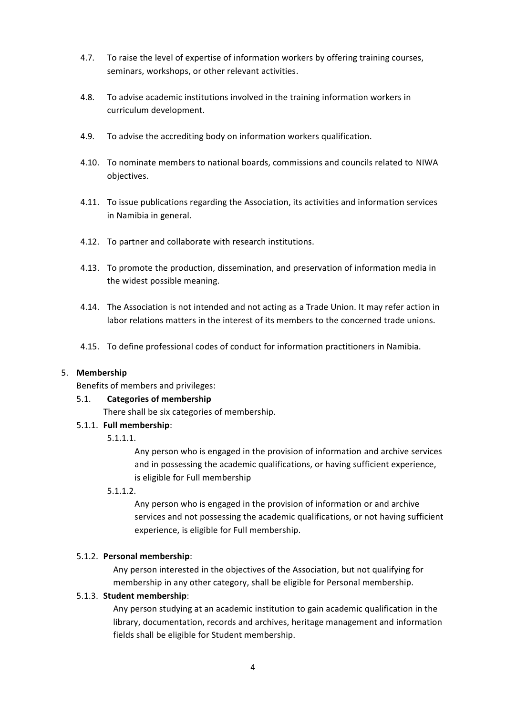- 4.7. To raise the level of expertise of information workers by offering training courses, seminars, workshops, or other relevant activities.
- 4.8. To advise academic institutions involved in the training information workers in curriculum development.
- 4.9. To advise the accrediting body on information workers qualification.
- 4.10. To nominate members to national boards, commissions and councils related to NIWA objectives.
- 4.11. To issue publications regarding the Association, its activities and information services in Namibia in general.
- 4.12. To partner and collaborate with research institutions.
- 4.13. To promote the production, dissemination, and preservation of information media in the widest possible meaning.
- 4.14. The Association is not intended and not acting as a Trade Union. It may refer action in labor relations matters in the interest of its members to the concerned trade unions.
- 4.15. To define professional codes of conduct for information practitioners in Namibia.

#### 5. **Membership**

Benefits of members and privileges:

#### 5.1. **Categories of membership**

There shall be six categories of membership.

#### 5.1.1. **Full membership**:

#### 5.1.1.1.

Any person who is engaged in the provision of information and archive services and in possessing the academic qualifications, or having sufficient experience, is eligible for Full membership

# 5.1.1.2.

Any person who is engaged in the provision of information or and archive services and not possessing the academic qualifications, or not having sufficient experience, is eligible for Full membership.

#### 5.1.2. **Personal membership**:

Any person interested in the objectives of the Association, but not qualifying for membership in any other category, shall be eligible for Personal membership.

# 5.1.3. **Student membership**:

Any person studying at an academic institution to gain academic qualification in the library, documentation, records and archives, heritage management and information fields shall be eligible for Student membership.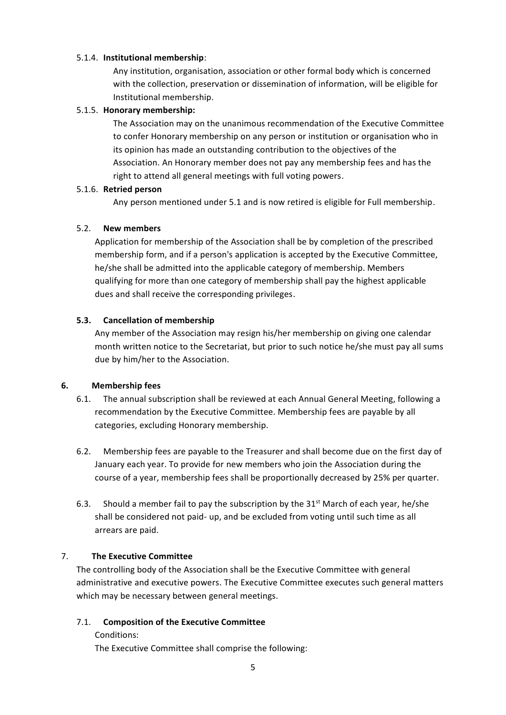## 5.1.4. **Institutional membership**:

Any institution, organisation, association or other formal body which is concerned with the collection, preservation or dissemination of information, will be eligible for Institutional membership.

## 5.1.5. **Honorary membership:**

The Association may on the unanimous recommendation of the Executive Committee to confer Honorary membership on any person or institution or organisation who in its opinion has made an outstanding contribution to the objectives of the Association. An Honorary member does not pay any membership fees and has the right to attend all general meetings with full voting powers.

#### 5.1.6. **Retried person**

Any person mentioned under 5.1 and is now retired is eligible for Full membership.

## 5.2. **New members**

Application for membership of the Association shall be by completion of the prescribed membership form, and if a person's application is accepted by the Executive Committee, he/she shall be admitted into the applicable category of membership. Members qualifying for more than one category of membership shall pay the highest applicable dues and shall receive the corresponding privileges.

# **5.3. Cancellation of membership**

Any member of the Association may resign his/her membership on giving one calendar month written notice to the Secretariat, but prior to such notice he/she must pay all sums due by him/her to the Association.

# **6. Membership fees**

- 6.1. The annual subscription shall be reviewed at each Annual General Meeting, following a recommendation by the Executive Committee. Membership fees are payable by all categories, excluding Honorary membership.
- 6.2. Membership fees are payable to the Treasurer and shall become due on the first day of January each year. To provide for new members who join the Association during the course of a year, membership fees shall be proportionally decreased by 25% per quarter.
- 6.3. Should a member fail to pay the subscription by the  $31<sup>st</sup>$  March of each year, he/she shall be considered not paid- up, and be excluded from voting until such time as all arrears are paid.

# 7. **The Executive Committee**

The controlling body of the Association shall be the Executive Committee with general administrative and executive powers. The Executive Committee executes such general matters which may be necessary between general meetings.

# 7.1. **Composition of the Executive Committee**

Conditions:

The Executive Committee shall comprise the following: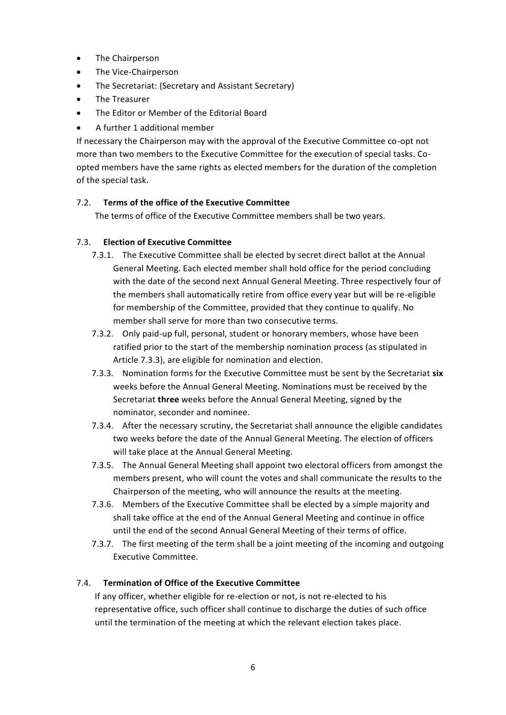- The Chairperson
- The Vice-Chairperson
- The Secretariat: (Secretary and Assistant Secretary)
- The Treasurer
- The Editor or Member of the Editorial Board
- A further 1 additional member

If necessary the Chairperson may with the approval of the Executive Committee co-opt not more than two members to the Executive Committee for the execution of special tasks. Coopted members have the same rights as elected members for the duration of the completion of the special task.

# 7.2. **Terms of the office of the Executive Committee**

The terms of office of the Executive Committee members shall be two years.

# 7.3. **Election of Executive Committee**

- 7.3.1. The Executive Committee shall be elected by secret direct ballot at the Annual General Meeting. Each elected member shall hold office for the period concluding with the date of the second next Annual General Meeting. Three respectively four of the members shall automatically retire from office every year but will be re-eligible for membership of the Committee, provided that they continue to qualify. No member shall serve for more than two consecutive terms.
- 7.3.2. Only paid-up full, personal, student or honorary members, whose have been ratified prior to the start of the membership nomination process (as stipulated in Article 7.3.3), are eligible for nomination and election.
- 7.3.3. Nomination forms for the Executive Committee must be sent by the Secretariat **six**  weeks before the Annual General Meeting. Nominations must be received by the Secretariat **three** weeks before the Annual General Meeting, signed by the nominator, seconder and nominee.
- 7.3.4. After the necessary scrutiny, the Secretariat shall announce the eligible candidates two weeks before the date of the Annual General Meeting. The election of officers will take place at the Annual General Meeting.
- 7.3.5. The Annual General Meeting shall appoint two electoral officers from amongst the members present, who will count the votes and shall communicate the results to the Chairperson of the meeting, who will announce the results at the meeting.
- 7.3.6. Members of the Executive Committee shall be elected by a simple majority and shall take office at the end of the Annual General Meeting and continue in office until the end of the second Annual General Meeting of their terms of office.
- 7.3.7. The first meeting of the term shall be a joint meeting of the incoming and outgoing Executive Committee.

# 7.4. **Termination of Office of the Executive Committee**

If any officer, whether eligible for re-election or not, is not re-elected to his representative office, such officer shall continue to discharge the duties of such office until the termination of the meeting at which the relevant election takes place.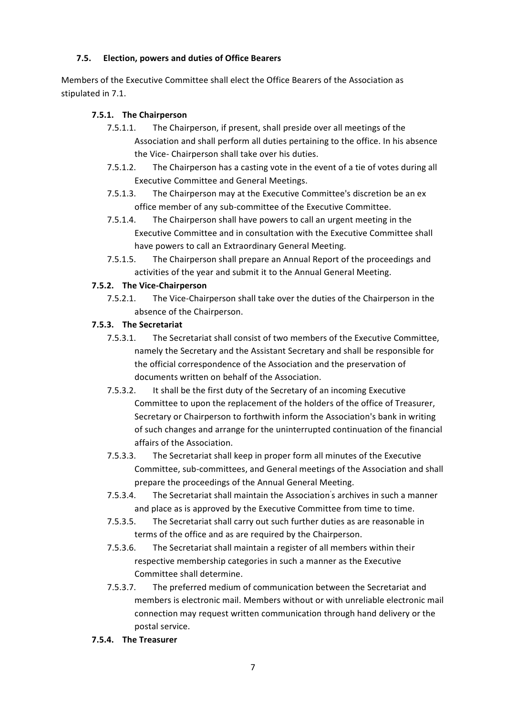# **7.5. Election, powers and duties of Office Bearers**

Members of the Executive Committee shall elect the Office Bearers of the Association as stipulated in 7.1.

# **7.5.1. The Chairperson**

- 7.5.1.1. The Chairperson, if present, shall preside over all meetings of the Association and shall perform all duties pertaining to the office. In his absence the Vice- Chairperson shall take over his duties.
- 7.5.1.2. The Chairperson has a casting vote in the event of a tie of votes during all Executive Committee and General Meetings.
- 7.5.1.3. The Chairperson may at the Executive Committee's discretion be an ex office member of any sub-committee of the Executive Committee.
- 7.5.1.4. The Chairperson shall have powers to call an urgent meeting in the Executive Committee and in consultation with the Executive Committee shall have powers to call an Extraordinary General Meeting.
- 7.5.1.5. The Chairperson shall prepare an Annual Report of the proceedings and activities of the year and submit it to the Annual General Meeting.

# **7.5.2. The Vice-Chairperson**

7.5.2.1. The Vice-Chairperson shall take over the duties of the Chairperson in the absence of the Chairperson.

# **7.5.3. The Secretariat**

- 7.5.3.1. The Secretariat shall consist of two members of the Executive Committee, namely the Secretary and the Assistant Secretary and shall be responsible for the official correspondence of the Association and the preservation of documents written on behalf of the Association.
- 7.5.3.2. It shall be the first duty of the Secretary of an incoming Executive Committee to upon the replacement of the holders of the office of Treasurer, Secretary or Chairperson to forthwith inform the Association's bank in writing of such changes and arrange for the uninterrupted continuation of the financial affairs of the Association.
- 7.5.3.3. The Secretariat shall keep in proper form all minutes of the Executive Committee, sub-committees, and General meetings of the Association and shall prepare the proceedings of the Annual General Meeting.
- 7.5.3.4. The Secretariat shall maintain the Association' s archives in such a manner and place as is approved by the Executive Committee from time to time.
- 7.5.3.5. The Secretariat shall carry out such further duties as are reasonable in terms of the office and as are required by the Chairperson.
- 7.5.3.6. The Secretariat shall maintain a register of all members within their respective membership categories in such a manner as the Executive Committee shall determine.
- 7.5.3.7. The preferred medium of communication between the Secretariat and members is electronic mail. Members without or with unreliable electronic mail connection may request written communication through hand delivery or the postal service.
- **7.5.4. The Treasurer**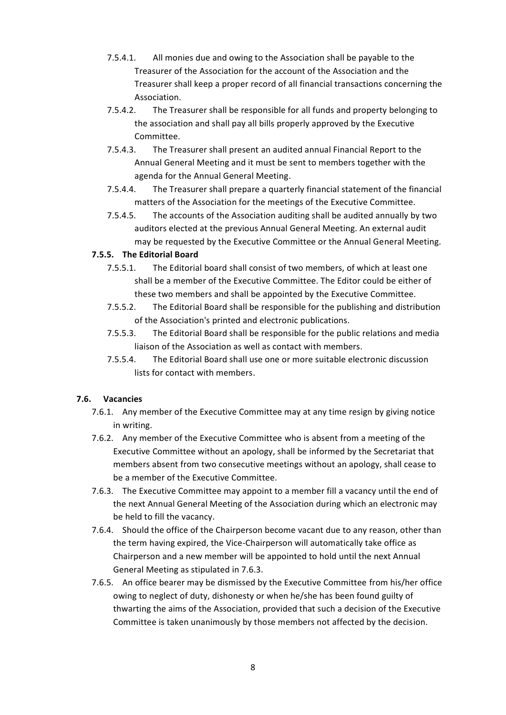- 7.5.4.1. All monies due and owing to the Association shall be payable to the Treasurer of the Association for the account of the Association and the Treasurer shall keep a proper record of all financial transactions concerning the Association.
- 7.5.4.2. The Treasurer shall be responsible for all funds and property belonging to the association and shall pay all bills properly approved by the Executive Committee.
- 7.5.4.3. The Treasurer shall present an audited annual Financial Report to the Annual General Meeting and it must be sent to members together with the agenda for the Annual General Meeting.
- 7.5.4.4. The Treasurer shall prepare a quarterly financial statement of the financial matters of the Association for the meetings of the Executive Committee.
- 7.5.4.5. The accounts of the Association auditing shall be audited annually by two auditors elected at the previous Annual General Meeting. An external audit may be requested by the Executive Committee or the Annual General Meeting.

# **7.5.5. The Editorial Board**

- 7.5.5.1. The Editorial board shall consist of two members, of which at least one shall be a member of the Executive Committee. The Editor could be either of these two members and shall be appointed by the Executive Committee.
- 7.5.5.2. The Editorial Board shall be responsible for the publishing and distribution of the Association's printed and electronic publications.
- 7.5.5.3. The Editorial Board shall be responsible for the public relations and media liaison of the Association as well as contact with members.
- 7.5.5.4. The Editorial Board shall use one or more suitable electronic discussion lists for contact with members.

# **7.6. Vacancies**

- 7.6.1. Any member of the Executive Committee may at any time resign by giving notice in writing.
- 7.6.2. Any member of the Executive Committee who is absent from a meeting of the Executive Committee without an apology, shall be informed by the Secretariat that members absent from two consecutive meetings without an apology, shall cease to be a member of the Executive Committee.
- 7.6.3. The Executive Committee may appoint to a member fill a vacancy until the end of the next Annual General Meeting of the Association during which an electronic may be held to fill the vacancy.
- 7.6.4. Should the office of the Chairperson become vacant due to any reason, other than the term having expired, the Vice-Chairperson will automatically take office as Chairperson and a new member will be appointed to hold until the next Annual General Meeting as stipulated in 7.6.3.
- 7.6.5. An office bearer may be dismissed by the Executive Committee from his/her office owing to neglect of duty, dishonesty or when he/she has been found guilty of thwarting the aims of the Association, provided that such a decision of the Executive Committee is taken unanimously by those members not affected by the decision.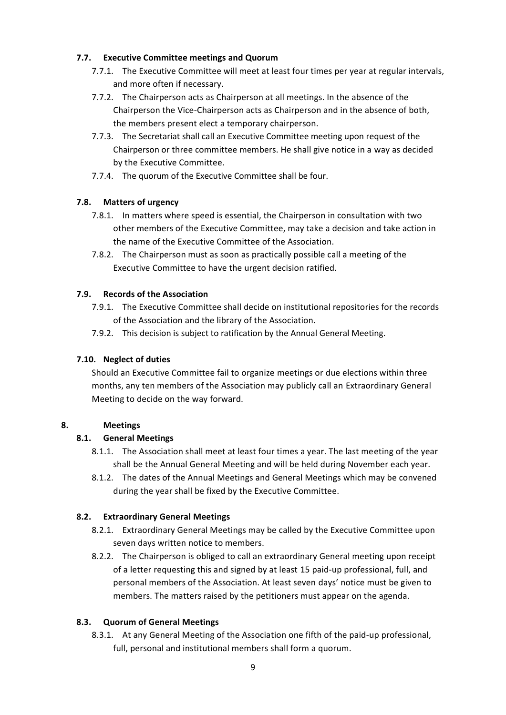# **7.7. Executive Committee meetings and Quorum**

- 7.7.1. The Executive Committee will meet at least four times per year at regular intervals, and more often if necessary.
- 7.7.2. The Chairperson acts as Chairperson at all meetings. In the absence of the Chairperson the Vice-Chairperson acts as Chairperson and in the absence of both, the members present elect a temporary chairperson.
- 7.7.3. The Secretariat shall call an Executive Committee meeting upon request of the Chairperson or three committee members. He shall give notice in a way as decided by the Executive Committee.
- 7.7.4. The quorum of the Executive Committee shall be four.

# **7.8. Matters of urgency**

- 7.8.1. In matters where speed is essential, the Chairperson in consultation with two other members of the Executive Committee, may take a decision and take action in the name of the Executive Committee of the Association.
- 7.8.2. The Chairperson must as soon as practically possible call a meeting of the Executive Committee to have the urgent decision ratified.

# **7.9. Records of the Association**

- 7.9.1. The Executive Committee shall decide on institutional repositories for the records of the Association and the library of the Association.
- 7.9.2. This decision is subject to ratification by the Annual General Meeting.

# **7.10. Neglect of duties**

Should an Executive Committee fail to organize meetings or due elections within three months, any ten members of the Association may publicly call an Extraordinary General Meeting to decide on the way forward.

# **8. Meetings**

# **8.1. General Meetings**

- 8.1.1. The Association shall meet at least four times a year. The last meeting of the year shall be the Annual General Meeting and will be held during November each year.
- 8.1.2. The dates of the Annual Meetings and General Meetings which may be convened during the year shall be fixed by the Executive Committee.

# **8.2. Extraordinary General Meetings**

- 8.2.1. Extraordinary General Meetings may be called by the Executive Committee upon seven days written notice to members.
- 8.2.2. The Chairperson is obliged to call an extraordinary General meeting upon receipt of a letter requesting this and signed by at least 15 paid-up professional, full, and personal members of the Association. At least seven days' notice must be given to members. The matters raised by the petitioners must appear on the agenda.

# **8.3. Quorum of General Meetings**

8.3.1. At any General Meeting of the Association one fifth of the paid-up professional, full, personal and institutional members shall form a quorum.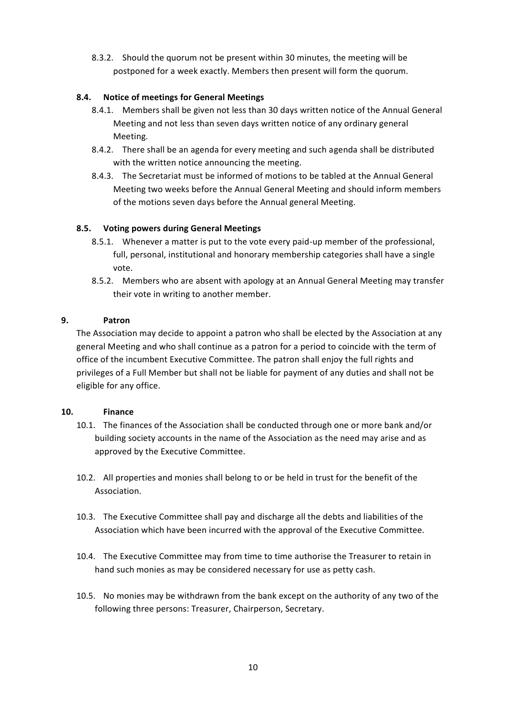8.3.2. Should the quorum not be present within 30 minutes, the meeting will be postponed for a week exactly. Members then present will form the quorum.

# **8.4. Notice of meetings for General Meetings**

- 8.4.1. Members shall be given not less than 30 days written notice of the Annual General Meeting and not less than seven days written notice of any ordinary general Meeting.
- 8.4.2. There shall be an agenda for every meeting and such agenda shall be distributed with the written notice announcing the meeting.
- 8.4.3. The Secretariat must be informed of motions to be tabled at the Annual General Meeting two weeks before the Annual General Meeting and should inform members of the motions seven days before the Annual general Meeting.

# **8.5. Voting powers during General Meetings**

- 8.5.1. Whenever a matter is put to the vote every paid-up member of the professional, full, personal, institutional and honorary membership categories shall have a single vote.
- 8.5.2. Members who are absent with apology at an Annual General Meeting may transfer their vote in writing to another member.

# **9. Patron**

The Association may decide to appoint a patron who shall be elected by the Association at any general Meeting and who shall continue as a patron for a period to coincide with the term of office of the incumbent Executive Committee. The patron shall enjoy the full rights and privileges of a Full Member but shall not be liable for payment of any duties and shall not be eligible for any office.

# **10. Finance**

- 10.1. The finances of the Association shall be conducted through one or more bank and/or building society accounts in the name of the Association as the need may arise and as approved by the Executive Committee.
- 10.2. All properties and monies shall belong to or be held in trust for the benefit of the Association.
- 10.3. The Executive Committee shall pay and discharge all the debts and liabilities of the Association which have been incurred with the approval of the Executive Committee.
- 10.4. The Executive Committee may from time to time authorise the Treasurer to retain in hand such monies as may be considered necessary for use as petty cash.
- 10.5. No monies may be withdrawn from the bank except on the authority of any two of the following three persons: Treasurer, Chairperson, Secretary.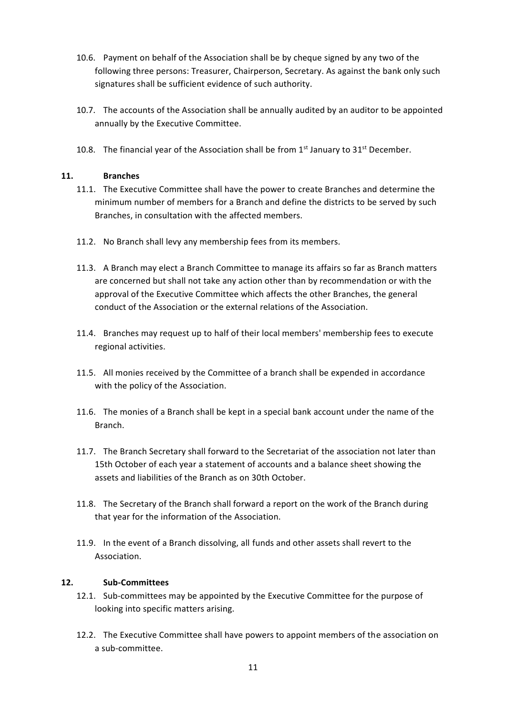- 10.6. Payment on behalf of the Association shall be by cheque signed by any two of the following three persons: Treasurer, Chairperson, Secretary. As against the bank only such signatures shall be sufficient evidence of such authority.
- 10.7. The accounts of the Association shall be annually audited by an auditor to be appointed annually by the Executive Committee.
- 10.8. The financial year of the Association shall be from  $1<sup>st</sup>$  January to  $31<sup>st</sup>$  December.

## **11. Branches**

- 11.1. The Executive Committee shall have the power to create Branches and determine the minimum number of members for a Branch and define the districts to be served by such Branches, in consultation with the affected members.
- 11.2. No Branch shall levy any membership fees from its members.
- 11.3. A Branch may elect a Branch Committee to manage its affairs so far as Branch matters are concerned but shall not take any action other than by recommendation or with the approval of the Executive Committee which affects the other Branches, the general conduct of the Association or the external relations of the Association.
- 11.4. Branches may request up to half of their local members' membership fees to execute regional activities.
- 11.5. All monies received by the Committee of a branch shall be expended in accordance with the policy of the Association.
- 11.6. The monies of a Branch shall be kept in a special bank account under the name of the Branch.
- 11.7. The Branch Secretary shall forward to the Secretariat of the association not later than 15th October of each year a statement of accounts and a balance sheet showing the assets and liabilities of the Branch as on 30th October.
- 11.8. The Secretary of the Branch shall forward a report on the work of the Branch during that year for the information of the Association.
- 11.9. In the event of a Branch dissolving, all funds and other assets shall revert to the Association.

## **12. Sub-Committees**

- 12.1. Sub-committees may be appointed by the Executive Committee for the purpose of looking into specific matters arising.
- 12.2. The Executive Committee shall have powers to appoint members of the association on a sub-committee.